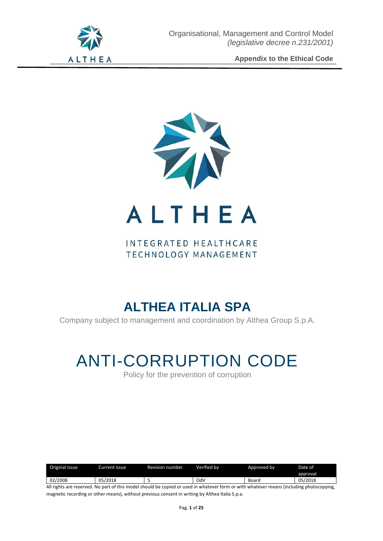

# INTEGRATED HEALTHCARE TECHNOLOGY MANAGEMENT

# **ALTHEA ITALIA SPA**

Company subject to management and coordination by Althea Group S.p.A.

# ANTI-CORRUPTION CODE

Policy for the prevention of corruption

| Original issue | Current issue | Revision number | Verified bv | Approved by | Date of  |
|----------------|---------------|-----------------|-------------|-------------|----------|
|                |               |                 |             |             | approval |
| 02/2008        | 05/2018       |                 | Od۱         | Board       | 05/2018  |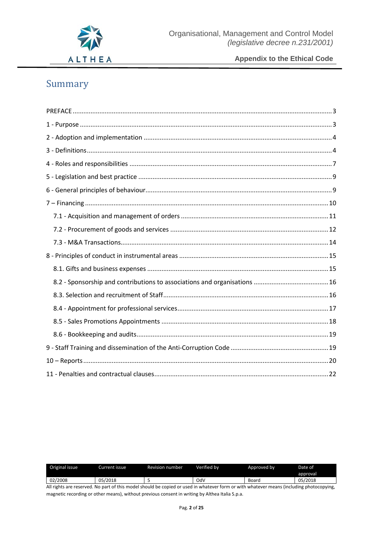

# Summary

| Original issue | Current issue | <b>Revision number</b> | Verified by | Approved by | Date of  |
|----------------|---------------|------------------------|-------------|-------------|----------|
|                |               |                        |             |             | approval |
| 02/2008        | 05/2018       |                        | OdV         | Board       | 05/2018  |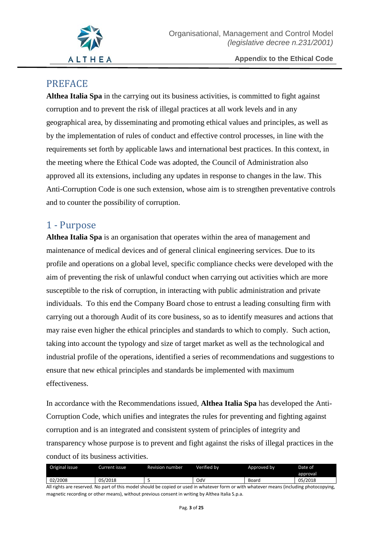

# <span id="page-2-0"></span>PREFACE

**Althea Italia Spa** in the carrying out its business activities, is committed to fight against corruption and to prevent the risk of illegal practices at all work levels and in any geographical area, by disseminating and promoting ethical values and principles, as well as by the implementation of rules of conduct and effective control processes, in line with the requirements set forth by applicable laws and international best practices. In this context, in the meeting where the Ethical Code was adopted, the Council of Administration also approved all its extensions, including any updates in response to changes in the law. This Anti-Corruption Code is one such extension, whose aim is to strengthen preventative controls and to counter the possibility of corruption.

# <span id="page-2-1"></span>1 - Purpose

**Althea Italia Spa** is an organisation that operates within the area of management and maintenance of medical devices and of general clinical engineering services. Due to its profile and operations on a global level, specific compliance checks were developed with the aim of preventing the risk of unlawful conduct when carrying out activities which are more susceptible to the risk of corruption, in interacting with public administration and private individuals. To this end the Company Board chose to entrust a leading consulting firm with carrying out a thorough Audit of its core business, so as to identify measures and actions that may raise even higher the ethical principles and standards to which to comply. Such action, taking into account the typology and size of target market as well as the technological and industrial profile of the operations, identified a series of recommendations and suggestions to ensure that new ethical principles and standards be implemented with maximum effectiveness.

In accordance with the Recommendations issued, **Althea Italia Spa** has developed the Anti-Corruption Code, which unifies and integrates the rules for preventing and fighting against corruption and is an integrated and consistent system of principles of integrity and transparency whose purpose is to prevent and fight against the risks of illegal practices in the conduct of its business activities.

| Original issue | Current issue | <b>Revision number</b> | Verified bv | Approved by | Date of  |
|----------------|---------------|------------------------|-------------|-------------|----------|
|                |               |                        |             |             | approval |
| 02/2008        | 05/2018       |                        | OdV         | Board       | 05/2018  |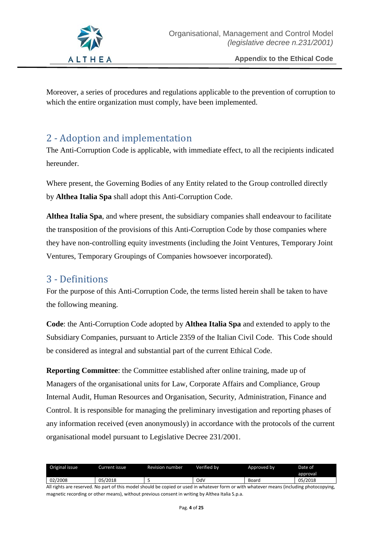

Moreover, a series of procedures and regulations applicable to the prevention of corruption to which the entire organization must comply, have been implemented.

# <span id="page-3-0"></span>2 - Adoption and implementation

The Anti-Corruption Code is applicable, with immediate effect, to all the recipients indicated hereunder.

Where present, the Governing Bodies of any Entity related to the Group controlled directly by **Althea Italia Spa** shall adopt this Anti-Corruption Code.

**Althea Italia Spa**, and where present, the subsidiary companies shall endeavour to facilitate the transposition of the provisions of this Anti-Corruption Code by those companies where they have non-controlling equity investments (including the Joint Ventures, Temporary Joint Ventures, Temporary Groupings of Companies howsoever incorporated).

# <span id="page-3-1"></span>3 - Definitions

For the purpose of this Anti-Corruption Code, the terms listed herein shall be taken to have the following meaning.

**Code**: the Anti-Corruption Code adopted by **Althea Italia Spa** and extended to apply to the Subsidiary Companies, pursuant to Article 2359 of the Italian Civil Code. This Code should be considered as integral and substantial part of the current Ethical Code.

**Reporting Committee**: the Committee established after online training, made up of Managers of the organisational units for Law, Corporate Affairs and Compliance, Group Internal Audit, Human Resources and Organisation, Security, Administration, Finance and Control. It is responsible for managing the preliminary investigation and reporting phases of any information received (even anonymously) in accordance with the protocols of the current organisational model pursuant to Legislative Decree 231/2001.

| Original issue | Current issue | <b>Revision number</b> | Verified bv | Approved by | Date of  |
|----------------|---------------|------------------------|-------------|-------------|----------|
|                |               |                        |             |             | approval |
| 02/2008        | 05/2018       |                        | OdV         | Board       | 05/2018  |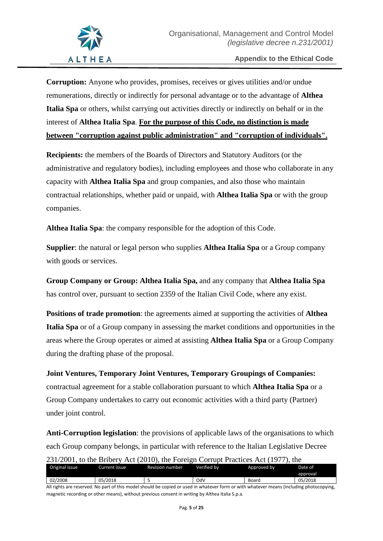**Corruption:** Anyone who provides, promises, receives or gives utilities and/or undue remunerations, directly or indirectly for personal advantage or to the advantage of **Althea Italia Spa** or others, whilst carrying out activities directly or indirectly on behalf or in the interest of **Althea Italia Spa**. **For the purpose of this Code, no distinction is made between "corruption against public administration" and "corruption of individuals".**

**Recipients:** the members of the Boards of Directors and Statutory Auditors (or the administrative and regulatory bodies), including employees and those who collaborate in any capacity with **Althea Italia Spa** and group companies, and also those who maintain contractual relationships, whether paid or unpaid, with **Althea Italia Spa** or with the group companies.

**Althea Italia Spa**: the company responsible for the adoption of this Code.

**Supplier**: the natural or legal person who supplies **Althea Italia Spa** or a Group company with goods or services.

**Group Company or Group: Althea Italia Spa,** and any company that **Althea Italia Spa** has control over, pursuant to section 2359 of the Italian Civil Code, where any exist.

**Positions of trade promotion**: the agreements aimed at supporting the activities of **Althea Italia Spa** or of a Group company in assessing the market conditions and opportunities in the areas where the Group operates or aimed at assisting **Althea Italia Spa** or a Group Company during the drafting phase of the proposal.

**Joint Ventures, Temporary Joint Ventures, Temporary Groupings of Companies:**  contractual agreement for a stable collaboration pursuant to which **Althea Italia Spa** or a Group Company undertakes to carry out economic activities with a third party (Partner) under joint control.

**Anti-Corruption legislation**: the provisions of applicable laws of the organisations to which each Group company belongs, in particular with reference to the Italian Legislative Decree 231/2001, to the Bribery Act (2010), the Foreign Corrupt Practices Act (1977), the

| $\frac{1}{2}$ $\frac{1}{2}$ $\frac{1}{2}$ $\frac{1}{2}$ $\frac{1}{2}$ $\frac{1}{2}$ $\frac{1}{2}$ $\frac{1}{2}$ $\frac{1}{2}$ $\frac{1}{2}$ $\frac{1}{2}$ $\frac{1}{2}$ $\frac{1}{2}$ $\frac{1}{2}$ $\frac{1}{2}$ $\frac{1}{2}$ $\frac{1}{2}$ $\frac{1}{2}$ $\frac{1}{2}$ $\frac{1}{2}$ $\frac{1}{2}$ $\frac{1}{2}$ |               |                 |             |             |          |  |
|---------------------------------------------------------------------------------------------------------------------------------------------------------------------------------------------------------------------------------------------------------------------------------------------------------------------|---------------|-----------------|-------------|-------------|----------|--|
| Original issue                                                                                                                                                                                                                                                                                                      | Current issue | Revision number | Verified by | Approved by | Date of  |  |
|                                                                                                                                                                                                                                                                                                                     |               |                 |             |             | approval |  |
| 02/2008                                                                                                                                                                                                                                                                                                             | 05/2018       |                 | OdV         | Board       | 05/2018  |  |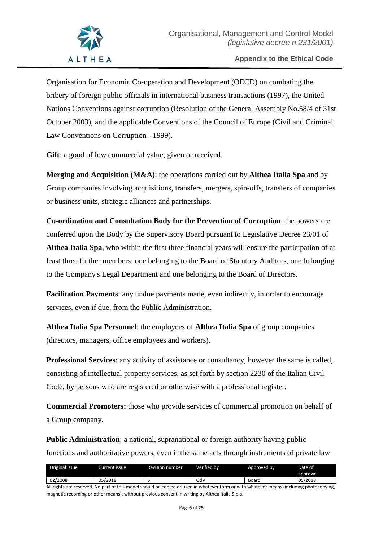Organisation for Economic Co-operation and Development (OECD) on combating the bribery of foreign public officials in international business transactions (1997), the United Nations Conventions against corruption (Resolution of the General Assembly No.58/4 of 31st October 2003), and the applicable Conventions of the Council of Europe (Civil and Criminal Law Conventions on Corruption - 1999).

**Gift**: a good of low commercial value, given or received.

**Merging and Acquisition (M&A)**: the operations carried out by **Althea Italia Spa** and by Group companies involving acquisitions, transfers, mergers, spin-offs, transfers of companies or business units, strategic alliances and partnerships.

**Co-ordination and Consultation Body for the Prevention of Corruption**: the powers are conferred upon the Body by the Supervisory Board pursuant to Legislative Decree 23/01 of **Althea Italia Spa**, who within the first three financial years will ensure the participation of at least three further members: one belonging to the Board of Statutory Auditors, one belonging to the Company's Legal Department and one belonging to the Board of Directors.

**Facilitation Payments**: any undue payments made, even indirectly, in order to encourage services, even if due, from the Public Administration.

**Althea Italia Spa Personnel**: the employees of **Althea Italia Spa** of group companies (directors, managers, office employees and workers).

**Professional Services**: any activity of assistance or consultancy, however the same is called, consisting of intellectual property services, as set forth by section 2230 of the Italian Civil Code, by persons who are registered or otherwise with a professional register.

**Commercial Promoters:** those who provide services of commercial promotion on behalf of a Group company.

**Public Administration**: a national, supranational or foreign authority having public functions and authoritative powers, even if the same acts through instruments of private law

| Original issue | Current issue i | <b>Revision number</b> | Verified bv | Approved by | Date of  |
|----------------|-----------------|------------------------|-------------|-------------|----------|
|                |                 |                        |             |             | approval |
| 02/2008        | 05/2018         |                        | OdV         | Board       | 05/2018  |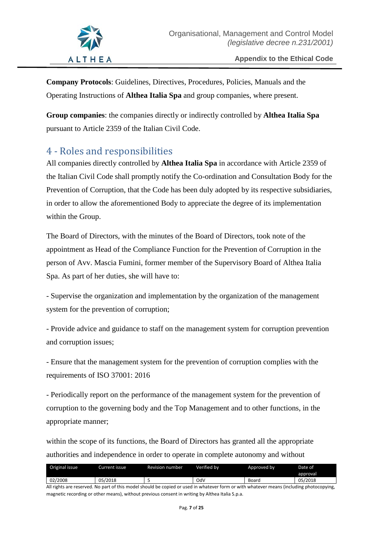

**Company Protocols**: Guidelines, Directives, Procedures, Policies, Manuals and the Operating Instructions of **Althea Italia Spa** and group companies, where present.

**Group companies**: the companies directly or indirectly controlled by **Althea Italia Spa** pursuant to Article 2359 of the Italian Civil Code.

# <span id="page-6-0"></span>4 - Roles and responsibilities

All companies directly controlled by **Althea Italia Spa** in accordance with Article 2359 of the Italian Civil Code shall promptly notify the Co-ordination and Consultation Body for the Prevention of Corruption, that the Code has been duly adopted by its respective subsidiaries, in order to allow the aforementioned Body to appreciate the degree of its implementation within the Group.

The Board of Directors, with the minutes of the Board of Directors, took note of the appointment as Head of the Compliance Function for the Prevention of Corruption in the person of Avv. Mascia Fumini, former member of the Supervisory Board of Althea Italia Spa. As part of her duties, she will have to:

- Supervise the organization and implementation by the organization of the management system for the prevention of corruption;

- Provide advice and guidance to staff on the management system for corruption prevention and corruption issues;

- Ensure that the management system for the prevention of corruption complies with the requirements of ISO 37001: 2016

- Periodically report on the performance of the management system for the prevention of corruption to the governing body and the Top Management and to other functions, in the appropriate manner;

within the scope of its functions, the Board of Directors has granted all the appropriate authorities and independence in order to operate in complete autonomy and without

| Original issue | urrent issue i | Revision number | Verified bv | Approved by | Date of  |
|----------------|----------------|-----------------|-------------|-------------|----------|
|                |                |                 |             |             | approval |
| 02/2008        | 05/2018        |                 | OdV         | Board       | 05/2018  |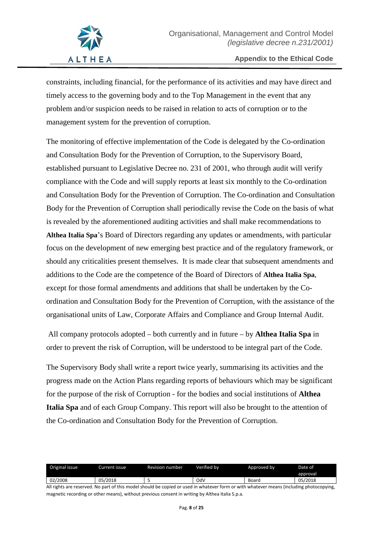constraints, including financial, for the performance of its activities and may have direct and timely access to the governing body and to the Top Management in the event that any problem and/or suspicion needs to be raised in relation to acts of corruption or to the management system for the prevention of corruption.

The monitoring of effective implementation of the Code is delegated by the Co-ordination and Consultation Body for the Prevention of Corruption, to the Supervisory Board, established pursuant to Legislative Decree no. 231 of 2001, who through audit will verify compliance with the Code and will supply reports at least six monthly to the Co-ordination and Consultation Body for the Prevention of Corruption. The Co-ordination and Consultation Body for the Prevention of Corruption shall periodically revise the Code on the basis of what is revealed by the aforementioned auditing activities and shall make recommendations to **Althea Italia Spa**'s Board of Directors regarding any updates or amendments, with particular focus on the development of new emerging best practice and of the regulatory framework, or should any criticalities present themselves. It is made clear that subsequent amendments and additions to the Code are the competence of the Board of Directors of **Althea Italia Spa**, except for those formal amendments and additions that shall be undertaken by the Coordination and Consultation Body for the Prevention of Corruption, with the assistance of the organisational units of Law, Corporate Affairs and Compliance and Group Internal Audit.

All company protocols adopted – both currently and in future – by **Althea Italia Spa** in order to prevent the risk of Corruption, will be understood to be integral part of the Code.

The Supervisory Body shall write a report twice yearly, summarising its activities and the progress made on the Action Plans regarding reports of behaviours which may be significant for the purpose of the risk of Corruption - for the bodies and social institutions of **Althea Italia Spa** and of each Group Company. This report will also be brought to the attention of the Co-ordination and Consultation Body for the Prevention of Corruption.

| Original issue | Current issue | <b>Revision number</b> | Verified bv | Approved by | Date of  |
|----------------|---------------|------------------------|-------------|-------------|----------|
|                |               |                        |             |             | approval |
| 02/2008        | 05/2018       |                        | OdV         | Board       | 05/2018  |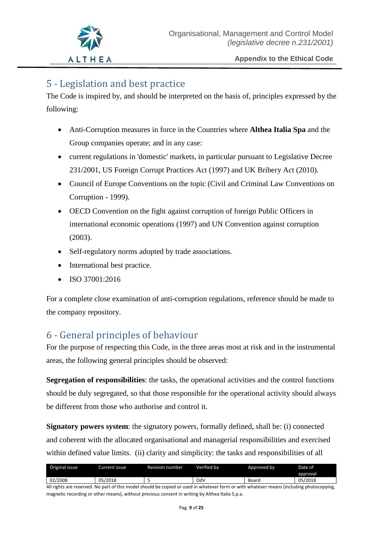# <span id="page-8-0"></span>5 - Legislation and best practice

The Code is inspired by, and should be interpreted on the basis of, principles expressed by the following:

- Anti-Corruption measures in force in the Countries where **Althea Italia Spa** and the Group companies operate; and in any case:
- current regulations in 'domestic' markets, in particular pursuant to Legislative Decree 231/2001, US Foreign Corrupt Practices Act (1997) and UK Bribery Act (2010).
- Council of Europe Conventions on the topic (Civil and Criminal Law Conventions on Corruption - 1999).
- OECD Convention on the fight against corruption of foreign Public Officers in international economic operations (1997) and UN Convention against corruption (2003).
- Self-regulatory norms adopted by trade associations.
- International best practice.
- ISO 37001:2016

For a complete close examination of anti-corruption regulations, reference should be made to the company repository.

# <span id="page-8-1"></span>6 - General principles of behaviour

For the purpose of respecting this Code, in the three areas most at risk and in the instrumental areas, the following general principles should be observed:

**Segregation of responsibilities**: the tasks, the operational activities and the control functions should be duly segregated, so that those responsible for the operational activity should always be different from those who authorise and control it.

**Signatory powers system**: the signatory powers, formally defined, shall be: (i) connected and coherent with the allocated organisational and managerial responsibilities and exercised within defined value limits. (ii) clarity and simplicity: the tasks and responsibilities of all

| Original issue | Current issue. | Revision number | Verified bv | Approved by | Date of  |
|----------------|----------------|-----------------|-------------|-------------|----------|
|                |                |                 |             |             | approval |
| 02/2008        | 05/2018        |                 | OdV         | Board       | 05/2018  |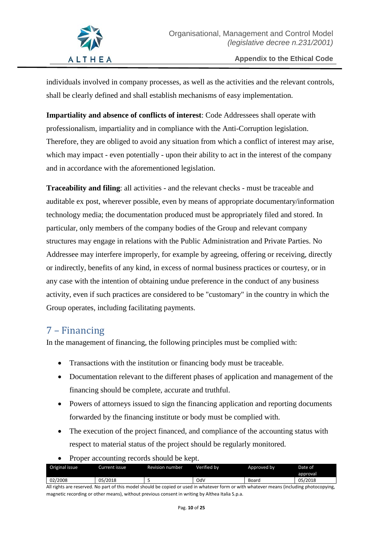individuals involved in company processes, as well as the activities and the relevant controls, shall be clearly defined and shall establish mechanisms of easy implementation.

**Impartiality and absence of conflicts of interest**: Code Addressees shall operate with professionalism, impartiality and in compliance with the Anti-Corruption legislation. Therefore, they are obliged to avoid any situation from which a conflict of interest may arise, which may impact - even potentially - upon their ability to act in the interest of the company and in accordance with the aforementioned legislation.

**Traceability and filing**: all activities - and the relevant checks - must be traceable and auditable ex post, wherever possible, even by means of appropriate documentary/information technology media; the documentation produced must be appropriately filed and stored. In particular, only members of the company bodies of the Group and relevant company structures may engage in relations with the Public Administration and Private Parties. No Addressee may interfere improperly, for example by agreeing, offering or receiving, directly or indirectly, benefits of any kind, in excess of normal business practices or courtesy, or in any case with the intention of obtaining undue preference in the conduct of any business activity, even if such practices are considered to be "customary" in the country in which the Group operates, including facilitating payments.

# <span id="page-9-0"></span>7 – Financing

In the management of financing, the following principles must be complied with:

- Transactions with the institution or financing body must be traceable.
- Documentation relevant to the different phases of application and management of the financing should be complete, accurate and truthful.
- Powers of attorneys issued to sign the financing application and reporting documents forwarded by the financing institute or body must be complied with.
- The execution of the project financed, and compliance of the accounting status with respect to material status of the project should be regularly monitored.
- Proper accounting records should be kept.

|                |                 | $\overline{\phantom{a}}$ |             |             |          |
|----------------|-----------------|--------------------------|-------------|-------------|----------|
| Original issue | Current issue i | <b>Revision number</b>   | Verified bv | Approved by | Date of  |
|                |                 |                          |             |             | approval |
| 02/2008        | 05/2018         |                          | OdV         | Board       | 05/2018  |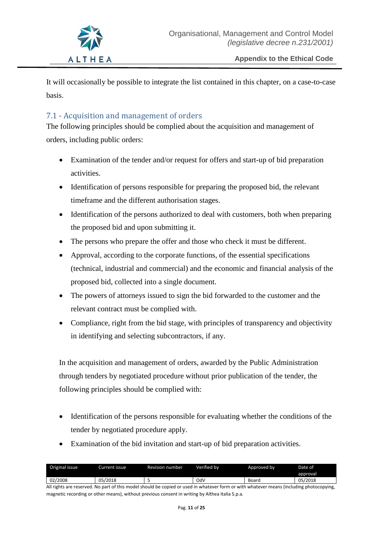

It will occasionally be possible to integrate the list contained in this chapter, on a case-to-case basis.

## <span id="page-10-0"></span>7.1 - Acquisition and management of orders

The following principles should be complied about the acquisition and management of orders, including public orders:

- Examination of the tender and/or request for offers and start-up of bid preparation activities.
- Identification of persons responsible for preparing the proposed bid, the relevant timeframe and the different authorisation stages.
- Identification of the persons authorized to deal with customers, both when preparing the proposed bid and upon submitting it.
- The persons who prepare the offer and those who check it must be different.
- Approval, according to the corporate functions, of the essential specifications (technical, industrial and commercial) and the economic and financial analysis of the proposed bid, collected into a single document.
- The powers of attorneys issued to sign the bid forwarded to the customer and the relevant contract must be complied with.
- Compliance, right from the bid stage, with principles of transparency and objectivity in identifying and selecting subcontractors, if any.

In the acquisition and management of orders, awarded by the Public Administration through tenders by negotiated procedure without prior publication of the tender, the following principles should be complied with:

- Identification of the persons responsible for evaluating whether the conditions of the tender by negotiated procedure apply.
- Examination of the bid invitation and start-up of bid preparation activities.

| Original issue | Current issue | Revision number | Verified bv | Approved by | Date of  |
|----------------|---------------|-----------------|-------------|-------------|----------|
|                |               |                 |             |             | approval |
| 02/2008        | 05/2018       | ٠.              | OdV         | Board       | 05/2018  |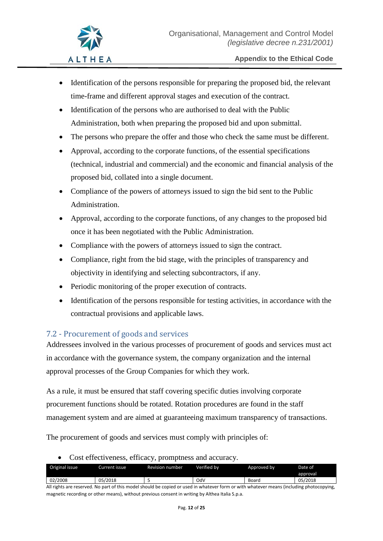- Identification of the persons responsible for preparing the proposed bid, the relevant time-frame and different approval stages and execution of the contract.
- Identification of the persons who are authorised to deal with the Public Administration, both when preparing the proposed bid and upon submittal.
- The persons who prepare the offer and those who check the same must be different.
- Approval, according to the corporate functions, of the essential specifications (technical, industrial and commercial) and the economic and financial analysis of the proposed bid, collated into a single document.
- Compliance of the powers of attorneys issued to sign the bid sent to the Public Administration.
- Approval, according to the corporate functions, of any changes to the proposed bid once it has been negotiated with the Public Administration.
- Compliance with the powers of attorneys issued to sign the contract.
- Compliance, right from the bid stage, with the principles of transparency and objectivity in identifying and selecting subcontractors, if any.
- Periodic monitoring of the proper execution of contracts.
- Identification of the persons responsible for testing activities, in accordance with the contractual provisions and applicable laws.

## <span id="page-11-0"></span>7.2 - Procurement of goods and services

Addressees involved in the various processes of procurement of goods and services must act in accordance with the governance system, the company organization and the internal approval processes of the Group Companies for which they work.

As a rule, it must be ensured that staff covering specific duties involving corporate procurement functions should be rotated. Rotation procedures are found in the staff management system and are aimed at guaranteeing maximum transparency of transactions.

The procurement of goods and services must comply with principles of:

• Cost effectiveness, efficacy, promptness and accuracy.

| Original issue | Current issue . | Revision number. | Verified bv | Approved by | Date of  |
|----------------|-----------------|------------------|-------------|-------------|----------|
|                |                 |                  |             |             | approval |
| 02/2008        | 05/2018         |                  | Od۱         | Board       | 05/2018  |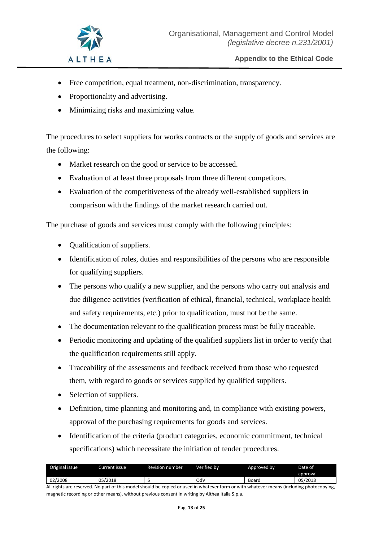- Free competition, equal treatment, non-discrimination, transparency.
- Proportionality and advertising.
- Minimizing risks and maximizing value.

The procedures to select suppliers for works contracts or the supply of goods and services are the following:

- Market research on the good or service to be accessed.
- Evaluation of at least three proposals from three different competitors.
- Evaluation of the competitiveness of the already well-established suppliers in comparison with the findings of the market research carried out.

The purchase of goods and services must comply with the following principles:

- **Qualification of suppliers.**
- Identification of roles, duties and responsibilities of the persons who are responsible for qualifying suppliers.
- The persons who qualify a new supplier, and the persons who carry out analysis and due diligence activities (verification of ethical, financial, technical, workplace health and safety requirements, etc.) prior to qualification, must not be the same.
- The documentation relevant to the qualification process must be fully traceable.
- Periodic monitoring and updating of the qualified suppliers list in order to verify that the qualification requirements still apply.
- Traceability of the assessments and feedback received from those who requested them, with regard to goods or services supplied by qualified suppliers.
- Selection of suppliers.
- Definition, time planning and monitoring and, in compliance with existing powers, approval of the purchasing requirements for goods and services.
- Identification of the criteria (product categories, economic commitment, technical specifications) which necessitate the initiation of tender procedures.

| Original issue | Current issue | Revision number | Verified bv | Approved by | Date of  |
|----------------|---------------|-----------------|-------------|-------------|----------|
|                |               |                 |             |             | approval |
| 02/2008        | 05/2018       |                 | Od\         | Board       | 05/2018  |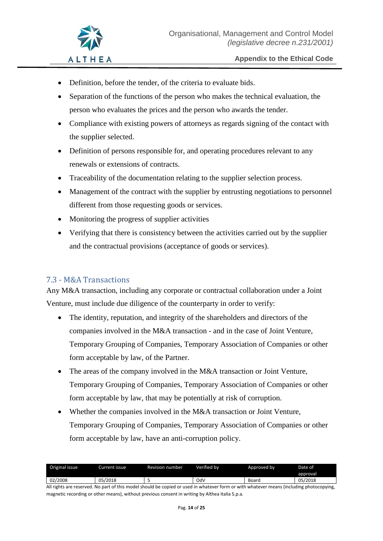- Definition, before the tender, of the criteria to evaluate bids.
- Separation of the functions of the person who makes the technical evaluation, the person who evaluates the prices and the person who awards the tender.
- Compliance with existing powers of attorneys as regards signing of the contact with the supplier selected.
- Definition of persons responsible for, and operating procedures relevant to any renewals or extensions of contracts.
- Traceability of the documentation relating to the supplier selection process.
- Management of the contract with the supplier by entrusting negotiations to personnel different from those requesting goods or services.
- Monitoring the progress of supplier activities
- Verifying that there is consistency between the activities carried out by the supplier and the contractual provisions (acceptance of goods or services).

## <span id="page-13-0"></span>7.3 - M&A Transactions

Any M&A transaction, including any corporate or contractual collaboration under a Joint Venture, must include due diligence of the counterparty in order to verify:

- The identity, reputation, and integrity of the shareholders and directors of the companies involved in the M&A transaction - and in the case of Joint Venture, Temporary Grouping of Companies, Temporary Association of Companies or other form acceptable by law, of the Partner.
- The areas of the company involved in the M&A transaction or Joint Venture, Temporary Grouping of Companies, Temporary Association of Companies or other form acceptable by law, that may be potentially at risk of corruption.
- Whether the companies involved in the M&A transaction or Joint Venture, Temporary Grouping of Companies, Temporary Association of Companies or other form acceptable by law, have an anti-corruption policy.

| Original issue | Current issue I | Revision number | Verified bv | Approved by | Date of  |
|----------------|-----------------|-----------------|-------------|-------------|----------|
|                |                 |                 |             |             | approval |
| 02/2008        | 05/2018         |                 | OdV         | Board       | 05/2018  |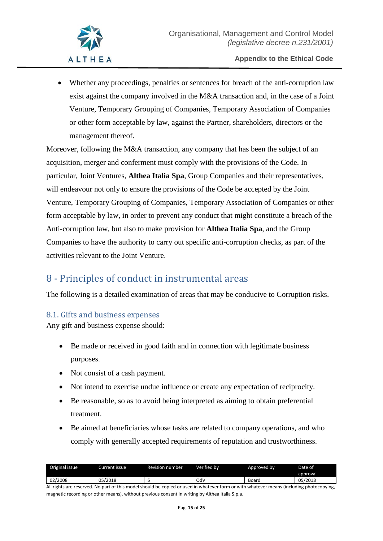• Whether any proceedings, penalties or sentences for breach of the anti-corruption law exist against the company involved in the M&A transaction and, in the case of a Joint Venture, Temporary Grouping of Companies, Temporary Association of Companies or other form acceptable by law, against the Partner, shareholders, directors or the management thereof.

Moreover, following the M&A transaction, any company that has been the subject of an acquisition, merger and conferment must comply with the provisions of the Code. In particular, Joint Ventures, **Althea Italia Spa**, Group Companies and their representatives, will endeavour not only to ensure the provisions of the Code be accepted by the Joint Venture, Temporary Grouping of Companies, Temporary Association of Companies or other form acceptable by law, in order to prevent any conduct that might constitute a breach of the Anti-corruption law, but also to make provision for **Althea Italia Spa**, and the Group Companies to have the authority to carry out specific anti-corruption checks, as part of the activities relevant to the Joint Venture.

# <span id="page-14-0"></span>8 - Principles of conduct in instrumental areas

The following is a detailed examination of areas that may be conducive to Corruption risks.

## <span id="page-14-1"></span>8.1. Gifts and business expenses

Any gift and business expense should:

- Be made or received in good faith and in connection with legitimate business purposes.
- Not consist of a cash payment.
- Not intend to exercise undue influence or create any expectation of reciprocity.
- Be reasonable, so as to avoid being interpreted as aiming to obtain preferential treatment.
- Be aimed at beneficiaries whose tasks are related to company operations, and who comply with generally accepted requirements of reputation and trustworthiness.

| Original issue | Current issue | Revision number | Verified bv | Approved by | Date of  |
|----------------|---------------|-----------------|-------------|-------------|----------|
|                |               |                 |             |             | approval |
| 02/2008        | 05/2018       |                 | Od۱         | Board       | 05/2018  |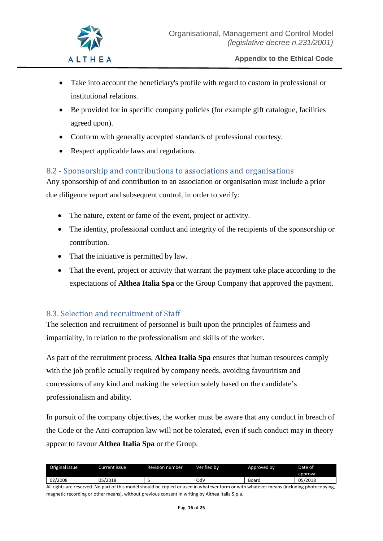- Take into account the beneficiary's profile with regard to custom in professional or institutional relations.
- Be provided for in specific company policies (for example gift catalogue, facilities agreed upon).
- Conform with generally accepted standards of professional courtesy.
- Respect applicable laws and regulations.

## <span id="page-15-0"></span>8.2 - Sponsorship and contributions to associations and organisations

Any sponsorship of and contribution to an association or organisation must include a prior due diligence report and subsequent control, in order to verify:

- The nature, extent or fame of the event, project or activity.
- The identity, professional conduct and integrity of the recipients of the sponsorship or contribution.
- That the initiative is permitted by law.
- That the event, project or activity that warrant the payment take place according to the expectations of **Althea Italia Spa** or the Group Company that approved the payment.

## <span id="page-15-1"></span>8.3. Selection and recruitment of Staff

The selection and recruitment of personnel is built upon the principles of fairness and impartiality, in relation to the professionalism and skills of the worker.

As part of the recruitment process, **Althea Italia Spa** ensures that human resources comply with the job profile actually required by company needs, avoiding favouritism and concessions of any kind and making the selection solely based on the candidate's professionalism and ability.

In pursuit of the company objectives, the worker must be aware that any conduct in breach of the Code or the Anti-corruption law will not be tolerated, even if such conduct may in theory appear to favour **Althea Italia Spa** or the Group.

| Original issue | Current issue . | <b>Revision number</b> | Verified bv | Approved by | Date of  |
|----------------|-----------------|------------------------|-------------|-------------|----------|
|                |                 |                        |             |             | approval |
| 02/2008        | 05/2018         |                        | OdV         | Board       | 05/2018  |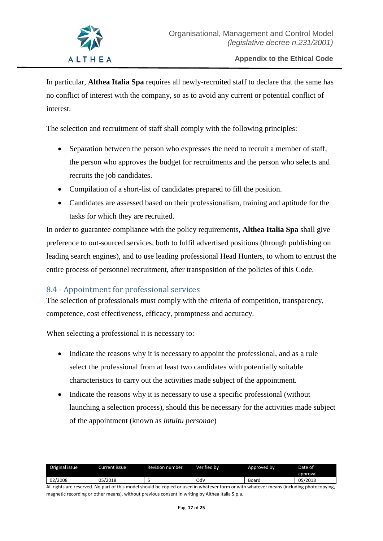In particular, **Althea Italia Spa** requires all newly-recruited staff to declare that the same has no conflict of interest with the company, so as to avoid any current or potential conflict of interest.

The selection and recruitment of staff shall comply with the following principles:

- Separation between the person who expresses the need to recruit a member of staff, the person who approves the budget for recruitments and the person who selects and recruits the job candidates.
- Compilation of a short-list of candidates prepared to fill the position.
- Candidates are assessed based on their professionalism, training and aptitude for the tasks for which they are recruited.

In order to guarantee compliance with the policy requirements, **Althea Italia Spa** shall give preference to out-sourced services, both to fulfil advertised positions (through publishing on leading search engines), and to use leading professional Head Hunters, to whom to entrust the entire process of personnel recruitment, after transposition of the policies of this Code.

## <span id="page-16-0"></span>8.4 - Appointment for professional services

The selection of professionals must comply with the criteria of competition, transparency, competence, cost effectiveness, efficacy, promptness and accuracy.

When selecting a professional it is necessary to:

- Indicate the reasons why it is necessary to appoint the professional, and as a rule select the professional from at least two candidates with potentially suitable characteristics to carry out the activities made subject of the appointment.
- Indicate the reasons why it is necessary to use a specific professional (without launching a selection process), should this be necessary for the activities made subject of the appointment (known as *intuitu personae*)

| Original issue | Current issue | Revision number | Verified bv | Approved by | Date of  |
|----------------|---------------|-----------------|-------------|-------------|----------|
|                |               |                 |             |             | approval |
| 02/2008        | 05/2018       |                 | OdV         | Board       | 05/2018  |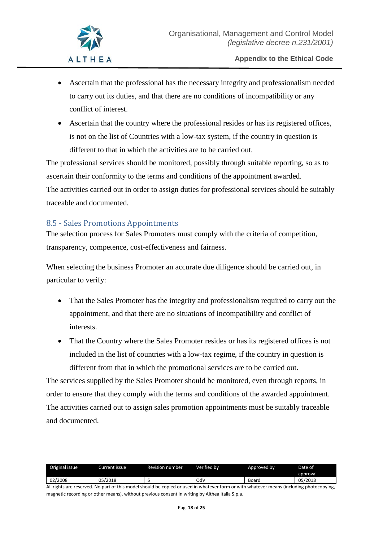- Ascertain that the professional has the necessary integrity and professionalism needed to carry out its duties, and that there are no conditions of incompatibility or any conflict of interest.
- Ascertain that the country where the professional resides or has its registered offices, is not on the list of Countries with a low-tax system, if the country in question is different to that in which the activities are to be carried out.

The professional services should be monitored, possibly through suitable reporting, so as to ascertain their conformity to the terms and conditions of the appointment awarded. The activities carried out in order to assign duties for professional services should be suitably traceable and documented.

## <span id="page-17-0"></span>8.5 - Sales Promotions Appointments

The selection process for Sales Promoters must comply with the criteria of competition, transparency, competence, cost-effectiveness and fairness.

When selecting the business Promoter an accurate due diligence should be carried out, in particular to verify:

- That the Sales Promoter has the integrity and professionalism required to carry out the appointment, and that there are no situations of incompatibility and conflict of interests.
- That the Country where the Sales Promoter resides or has its registered offices is not included in the list of countries with a low-tax regime, if the country in question is different from that in which the promotional services are to be carried out.

The services supplied by the Sales Promoter should be monitored, even through reports, in order to ensure that they comply with the terms and conditions of the awarded appointment. The activities carried out to assign sales promotion appointments must be suitably traceable and documented.

| Original issue | Current issue | Revision number | Verified by | Approved by | Date of  |
|----------------|---------------|-----------------|-------------|-------------|----------|
|                |               |                 |             |             | approval |
| 02/2008        | 05/2018       |                 | OdV         | Board       | 05/2018  |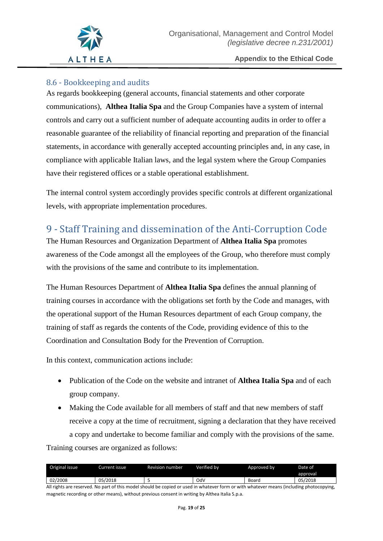

# <span id="page-18-0"></span>8.6 - Bookkeeping and audits

As regards bookkeeping (general accounts, financial statements and other corporate communications), **Althea Italia Spa** and the Group Companies have a system of internal controls and carry out a sufficient number of adequate accounting audits in order to offer a reasonable guarantee of the reliability of financial reporting and preparation of the financial statements, in accordance with generally accepted accounting principles and, in any case, in compliance with applicable Italian laws, and the legal system where the Group Companies have their registered offices or a stable operational establishment.

The internal control system accordingly provides specific controls at different organizational levels, with appropriate implementation procedures.

# <span id="page-18-1"></span>9 - Staff Training and dissemination of the Anti-Corruption Code

The Human Resources and Organization Department of **Althea Italia Spa** promotes awareness of the Code amongst all the employees of the Group, who therefore must comply with the provisions of the same and contribute to its implementation.

The Human Resources Department of **Althea Italia Spa** defines the annual planning of training courses in accordance with the obligations set forth by the Code and manages, with the operational support of the Human Resources department of each Group company, the training of staff as regards the contents of the Code, providing evidence of this to the Coordination and Consultation Body for the Prevention of Corruption.

In this context, communication actions include:

- Publication of the Code on the website and intranet of **Althea Italia Spa** and of each group company.
- Making the Code available for all members of staff and that new members of staff receive a copy at the time of recruitment, signing a declaration that they have received a copy and undertake to become familiar and comply with the provisions of the same. Training courses are organized as follows:

| Original issue | Current issue i | Revision number | Verified bv | Approved by | Date of  |
|----------------|-----------------|-----------------|-------------|-------------|----------|
|                |                 |                 |             |             | approval |
| 02/2008        | 05/2018         |                 | OdV         | Board       | 05/2018  |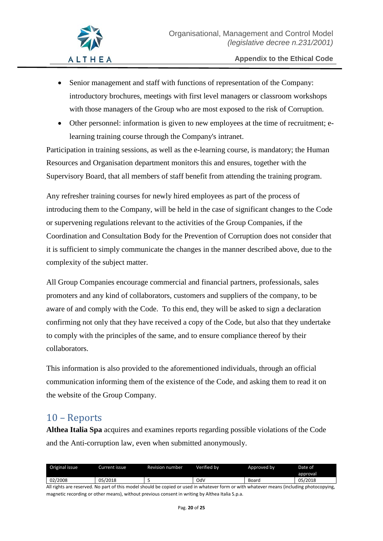- Senior management and staff with functions of representation of the Company: introductory brochures, meetings with first level managers or classroom workshops with those managers of the Group who are most exposed to the risk of Corruption.
- Other personnel: information is given to new employees at the time of recruitment; elearning training course through the Company's intranet.

Participation in training sessions, as well as the e-learning course, is mandatory; the Human Resources and Organisation department monitors this and ensures, together with the Supervisory Board, that all members of staff benefit from attending the training program.

Any refresher training courses for newly hired employees as part of the process of introducing them to the Company, will be held in the case of significant changes to the Code or supervening regulations relevant to the activities of the Group Companies, if the Coordination and Consultation Body for the Prevention of Corruption does not consider that it is sufficient to simply communicate the changes in the manner described above, due to the complexity of the subject matter.

All Group Companies encourage commercial and financial partners, professionals, sales promoters and any kind of collaborators, customers and suppliers of the company, to be aware of and comply with the Code. To this end, they will be asked to sign a declaration confirming not only that they have received a copy of the Code, but also that they undertake to comply with the principles of the same, and to ensure compliance thereof by their collaborators.

This information is also provided to the aforementioned individuals, through an official communication informing them of the existence of the Code, and asking them to read it on the website of the Group Company.

# <span id="page-19-0"></span>10 – Reports

**Althea Italia Spa** acquires and examines reports regarding possible violations of the Code and the Anti-corruption law, even when submitted anonymously.

| Original issue | Current issue  | <b>Revision number</b> | Verified by | Approved by | Date of  |
|----------------|----------------|------------------------|-------------|-------------|----------|
|                |                |                        |             |             | approval |
| 02/2008        | OE.<br>05/2018 |                        | OdV         | Board       | 05/2018  |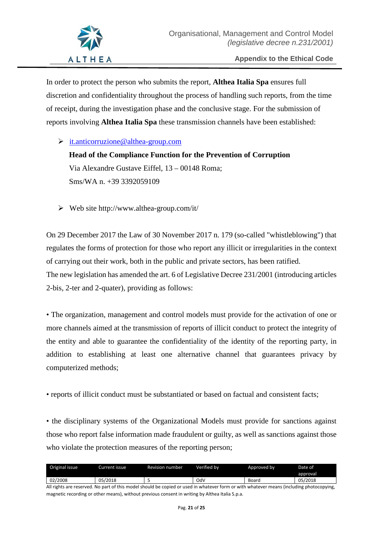

In order to protect the person who submits the report, **Althea Italia Spa** ensures full discretion and confidentiality throughout the process of handling such reports, from the time of receipt, during the investigation phase and the conclusive stage. For the submission of reports involving **Althea Italia Spa** these transmission channels have been established:

 $\triangleright$  [it.anticorruzione@althea-group.com](mailto:it.anticorruzione@althea-group.com)

# **Head of the Compliance Function for the Prevention of Corruption** Via Alexandre Gustave Eiffel, 13 – 00148 Roma; Sms/WA n. +39 3392059109

 $\triangleright$  Web site http://www.althea-group.com/it/

On 29 December 2017 the Law of 30 November 2017 n. 179 (so-called "whistleblowing") that regulates the forms of protection for those who report any illicit or irregularities in the context of carrying out their work, both in the public and private sectors, has been ratified. The new legislation has amended the art. 6 of Legislative Decree 231/2001 (introducing articles 2-bis, 2-ter and 2-quater), providing as follows:

• The organization, management and control models must provide for the activation of one or more channels aimed at the transmission of reports of illicit conduct to protect the integrity of the entity and able to guarantee the confidentiality of the identity of the reporting party, in addition to establishing at least one alternative channel that guarantees privacy by computerized methods;

• reports of illicit conduct must be substantiated or based on factual and consistent facts;

• the disciplinary systems of the Organizational Models must provide for sanctions against those who report false information made fraudulent or guilty, as well as sanctions against those who violate the protection measures of the reporting person;

| Original issue | Current issue i | <b>Revision number</b> | Verified by | Approved by | Date of  |
|----------------|-----------------|------------------------|-------------|-------------|----------|
|                |                 |                        |             |             | approval |
| 02/2008        | 05/2018         |                        | OdV         | Boaro       | 05/2018  |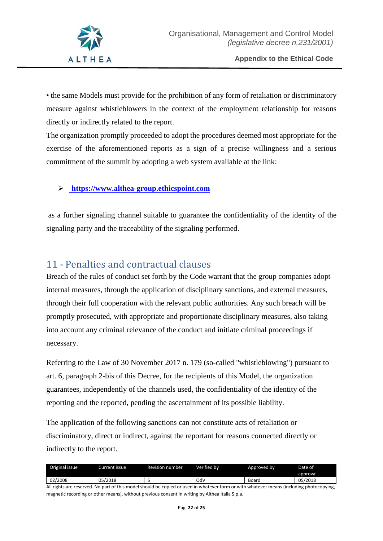

• the same Models must provide for the prohibition of any form of retaliation or discriminatory measure against whistleblowers in the context of the employment relationship for reasons directly or indirectly related to the report.

The organization promptly proceeded to adopt the procedures deemed most appropriate for the exercise of the aforementioned reports as a sign of a precise willingness and a serious commitment of the summit by adopting a web system available at the link:

#### **[https://www.althea-group.ethicspoint.com](https://www.althea-group.ethicspoint.com/)**

as a further signaling channel suitable to guarantee the confidentiality of the identity of the signaling party and the traceability of the signaling performed.

# <span id="page-21-0"></span>11 - Penalties and contractual clauses

Breach of the rules of conduct set forth by the Code warrant that the group companies adopt internal measures, through the application of disciplinary sanctions, and external measures, through their full cooperation with the relevant public authorities. Any such breach will be promptly prosecuted, with appropriate and proportionate disciplinary measures, also taking into account any criminal relevance of the conduct and initiate criminal proceedings if necessary.

Referring to the Law of 30 November 2017 n. 179 (so-called "whistleblowing") pursuant to art. 6, paragraph 2-bis of this Decree, for the recipients of this Model, the organization guarantees, independently of the channels used, the confidentiality of the identity of the reporting and the reported, pending the ascertainment of its possible liability.

The application of the following sanctions can not constitute acts of retaliation or discriminatory, direct or indirect, against the reportant for reasons connected directly or indirectly to the report.

| Original issue | Current issue . | Revision number | Verified bv | Approved by | Date of  |
|----------------|-----------------|-----------------|-------------|-------------|----------|
|                |                 |                 |             |             | approval |
| 02/2008        | 05/2018         |                 | OdV         | Board       | 05/2018  |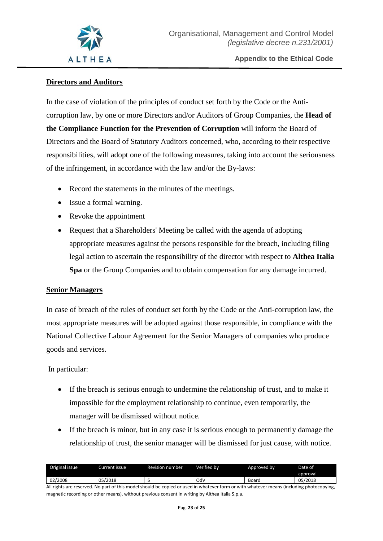

#### **Directors and Auditors**

In the case of violation of the principles of conduct set forth by the Code or the Anticorruption law, by one or more Directors and/or Auditors of Group Companies, the **Head of the Compliance Function for the Prevention of Corruption** will inform the Board of Directors and the Board of Statutory Auditors concerned, who, according to their respective responsibilities, will adopt one of the following measures, taking into account the seriousness of the infringement, in accordance with the law and/or the By-laws:

- Record the statements in the minutes of the meetings.
- Issue a formal warning.
- Revoke the appointment
- Request that a Shareholders' Meeting be called with the agenda of adopting appropriate measures against the persons responsible for the breach, including filing legal action to ascertain the responsibility of the director with respect to **Althea Italia Spa** or the Group Companies and to obtain compensation for any damage incurred.

#### **Senior Managers**

In case of breach of the rules of conduct set forth by the Code or the Anti-corruption law, the most appropriate measures will be adopted against those responsible, in compliance with the National Collective Labour Agreement for the Senior Managers of companies who produce goods and services.

In particular:

- If the breach is serious enough to undermine the relationship of trust, and to make it impossible for the employment relationship to continue, even temporarily, the manager will be dismissed without notice.
- If the breach is minor, but in any case it is serious enough to permanently damage the relationship of trust, the senior manager will be dismissed for just cause, with notice.

| Original issue | Current issue l | Revision number | Verified bv | Approved by | Date of  |
|----------------|-----------------|-----------------|-------------|-------------|----------|
|                |                 |                 |             |             | approval |
| 02/2008        | 05/2018         | ۰.              | OdV         | Board       | 05/2018  |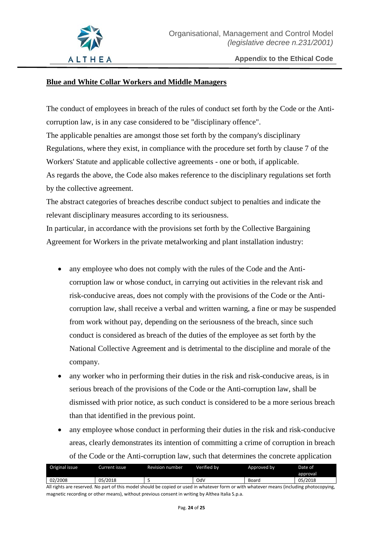

#### **Blue and White Collar Workers and Middle Managers**

The conduct of employees in breach of the rules of conduct set forth by the Code or the Anticorruption law, is in any case considered to be "disciplinary offence". The applicable penalties are amongst those set forth by the company's disciplinary Regulations, where they exist, in compliance with the procedure set forth by clause 7 of the Workers' Statute and applicable collective agreements - one or both, if applicable. As regards the above, the Code also makes reference to the disciplinary regulations set forth by the collective agreement.

The abstract categories of breaches describe conduct subject to penalties and indicate the relevant disciplinary measures according to its seriousness.

In particular, in accordance with the provisions set forth by the Collective Bargaining Agreement for Workers in the private metalworking and plant installation industry:

- any employee who does not comply with the rules of the Code and the Anticorruption law or whose conduct, in carrying out activities in the relevant risk and risk-conducive areas, does not comply with the provisions of the Code or the Anticorruption law, shall receive a verbal and written warning, a fine or may be suspended from work without pay, depending on the seriousness of the breach, since such conduct is considered as breach of the duties of the employee as set forth by the National Collective Agreement and is detrimental to the discipline and morale of the company.
- any worker who in performing their duties in the risk and risk-conducive areas, is in serious breach of the provisions of the Code or the Anti-corruption law, shall be dismissed with prior notice, as such conduct is considered to be a more serious breach than that identified in the previous point.
- any employee whose conduct in performing their duties in the risk and risk-conducive areas, clearly demonstrates its intention of committing a crime of corruption in breach of the Code or the Anti-corruption law, such that determines the concrete application

| Original issue | urrent issue | Revision number. | Verified bv | Approved by | Date of  |
|----------------|--------------|------------------|-------------|-------------|----------|
|                |              |                  |             |             | approval |
| 02/2008        | 05/2018      |                  | OdV         | Boaro       | 05/2018  |